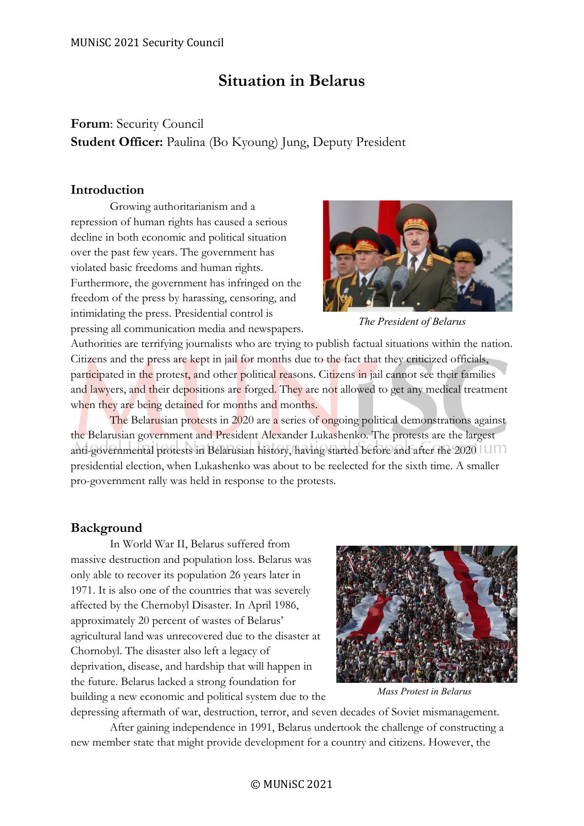# **Situation in Belarus**

# **Forum**: Security Council **Student Officer:** Paulina (Bo Kyoung) Jung, Deputy President

# **Introduction**

Growing authoritarianism and a repression of human rights has caused a serious decline in both economic and political situation over the past few years. The government has violated basic freedoms and human rights. Furthermore, the government has infringed on the freedom of the press by harassing, censoring, and intimidating the press. Presidential control is pressing all communication media and newspapers.



*The President of Belarus*

Authorities are terrifying journalists who are trying to publish factual situations within the nation. Citizens and the press are kept in jail for months due to the fact that they criticized officials, participated in the protest, and other political reasons. Citizens in jail cannot see their families and lawyers, and their depositions are forged. They are not allowed to get any medical treatment when they are being detained for months and months.

The Belarusian protests in 2020 are a series of ongoing political demonstrations against the Belarusian government and President Alexander Lukashenko. The protests are the largest anti-governmental protests in Belarusian history, having started before and after the 2020 presidential election, when Lukashenko was about to be reelected for the sixth time. A smaller pro-government rally was held in response to the protests.

# **Background**

In World War II, Belarus suffered from massive destruction and population loss. Belarus was only able to recover its population 26 years later in 1971. It is also one of the countries that was severely affected by the Chernobyl Disaster. In April 1986, approximately 20 percent of wastes of Belarus' agricultural land was unrecovered due to the disaster at Chornobyl. The disaster also left a legacy of deprivation, disease, and hardship that will happen in the future. Belarus lacked a strong foundation for building a new economic and political system due to the



*Mass Protest in Belarus*

depressing aftermath of war, destruction, terror, and seven decades of Soviet mismanagement.

After gaining independence in 1991, Belarus undertook the challenge of constructing a new member state that might provide development for a country and citizens. However, the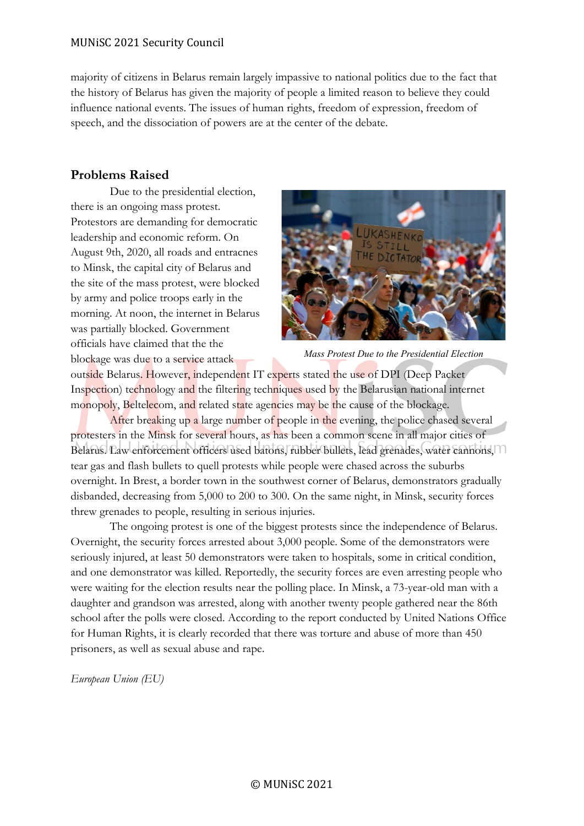### MUNiSC 2021 Security Council

majority of citizens in Belarus remain largely impassive to national politics due to the fact that the history of Belarus has given the majority of people a limited reason to believe they could influence national events. The issues of human rights, freedom of expression, freedom of speech, and the dissociation of powers are at the center of the debate.

# **Problems Raised**

Due to the presidential election, there is an ongoing mass protest. Protestors are demanding for democratic leadership and economic reform. On August 9th, 2020, all roads and entracnes to Minsk, the capital city of Belarus and the site of the mass protest, were blocked by army and police troops early in the morning. At noon, the internet in Belarus was partially blocked. Government officials have claimed that the the blockage was due to a service attack



*Mass Protest Due to the Presidential Election*

outside Belarus. However, independent IT experts stated the use of DPI (Deep Packet Inspection) technology and the filtering techniques used by the Belarusian national internet monopoly, Beltelecom, and related state agencies may be the cause of the blockage.

After breaking up a large number of people in the evening, the police chased several protesters in the Minsk for several hours, as has been a common scene in all major cities of Belarus. Law enforcement officers used batons, rubber bullets, lead grenades, water cannons, tear gas and flash bullets to quell protests while people were chased across the suburbs overnight. In Brest, a border town in the southwest corner of Belarus, demonstrators gradually disbanded, decreasing from 5,000 to 200 to 300. On the same night, in Minsk, security forces threw grenades to people, resulting in serious injuries.

The ongoing protest is one of the biggest protests since the independence of Belarus. Overnight, the security forces arrested about 3,000 people. Some of the demonstrators were seriously injured, at least 50 demonstrators were taken to hospitals, some in critical condition, and one demonstrator was killed. Reportedly, the security forces are even arresting people who were waiting for the election results near the polling place. In Minsk, a 73-year-old man with a daughter and grandson was arrested, along with another twenty people gathered near the 86th school after the polls were closed. According to the report conducted by United Nations Office for Human Rights, it is clearly recorded that there was torture and abuse of more than 450 prisoners, as well as sexual abuse and rape.

*European Union (EU)*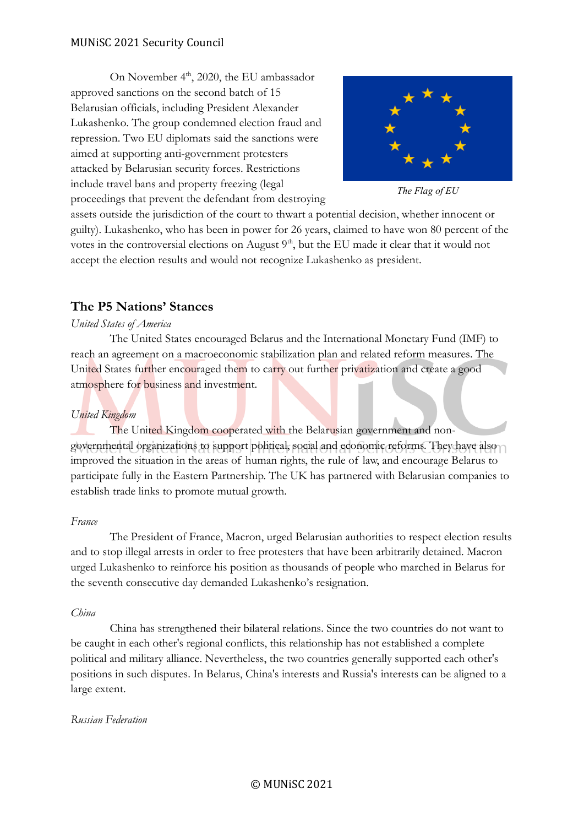On November  $4<sup>th</sup>$ , 2020, the EU ambassador approved sanctions on the second batch of 15 Belarusian officials, including President Alexander Lukashenko. The group condemned election fraud and repression. Two EU diplomats said the sanctions were aimed at supporting anti-government protesters attacked by Belarusian security forces. Restrictions include travel bans and property freezing (legal proceedings that prevent the defendant from destroying



*The Flag of EU*

assets outside the jurisdiction of the court to thwart a potential decision, whether innocent or guilty). Lukashenko, who has been in power for 26 years, claimed to have won 80 percent of the votes in the controversial elections on August  $9<sup>th</sup>$ , but the EU made it clear that it would not accept the election results and would not recognize Lukashenko as president.

# **The P5 Nations' Stances**

### *United States of America*

The United States encouraged Belarus and the International Monetary Fund (IMF) to reach an agreement on a macroeconomic stabilization plan and related reform measures. The United States further encouraged them to carry out further privatization and create a good atmosphere for business and investment.

### *United Kingdom*

The United Kingdom cooperated with the Belarusian government and nongovernmental organizations to support political, social and economic reforms. They have also improved the situation in the areas of human rights, the rule of law, and encourage Belarus to participate fully in the Eastern Partnership. The UK has partnered with Belarusian companies to establish trade links to promote mutual growth.

### *France*

The President of France, Macron, urged Belarusian authorities to respect election results and to stop illegal arrests in order to free protesters that have been arbitrarily detained. Macron urged Lukashenko to reinforce his position as thousands of people who marched in Belarus for the seventh consecutive day demanded Lukashenko's resignation.

### *China*

China has strengthened their bilateral relations. Since the two countries do not want to be caught in each other's regional conflicts, this relationship has not established a complete political and military alliance. Nevertheless, the two countries generally supported each other's positions in such disputes. In Belarus, China's interests and Russia's interests can be aligned to a large extent.

### *Russian Federation*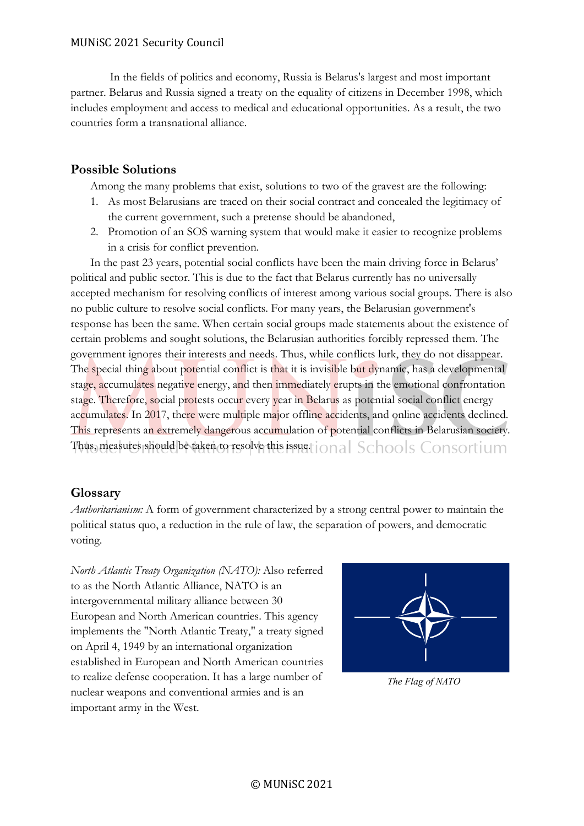In the fields of politics and economy, Russia is Belarus's largest and most important partner. Belarus and Russia signed a treaty on the equality of citizens in December 1998, which includes employment and access to medical and educational opportunities. As a result, the two countries form a transnational alliance.

# **Possible Solutions**

Among the many problems that exist, solutions to two of the gravest are the following:

- 1. As most Belarusians are traced on their social contract and concealed the legitimacy of the current government, such a pretense should be abandoned,
- 2. Promotion of an SOS warning system that would make it easier to recognize problems in a crisis for conflict prevention.

In the past 23 years, potential social conflicts have been the main driving force in Belarus' political and public sector. This is due to the fact that Belarus currently has no universally accepted mechanism for resolving conflicts of interest among various social groups. There is also no public culture to resolve social conflicts. For many years, the Belarusian government's response has been the same. When certain social groups made statements about the existence of certain problems and sought solutions, the Belarusian authorities forcibly repressed them. The government ignores their interests and needs. Thus, while conflicts lurk, they do not disappear. The special thing about potential conflict is that it is invisible but dynamic, has a developmental stage, accumulates negative energy, and then immediately erupts in the emotional confrontation stage. Therefore, social protests occur every year in Belarus as potential social conflict energy accumulates. In 2017, there were multiple major offline accidents, and online accidents declined. This represents an extremely dangerous accumulation of potential conflicts in Belarusian society. Thus, measures should be taken to resolve this issue.tional Schools Consortium

### **Glossary**

*Authoritarianism:* A form of government characterized by a strong central power to maintain the political status quo, a reduction in the rule of law, the separation of powers, and democratic voting.

*North Atlantic Treaty Organization (NATO):* Also referred to as the North Atlantic Alliance, NATO is an intergovernmental military alliance between 30 European and North American countries. This agency implements the "North Atlantic Treaty," a treaty signed on April 4, 1949 by an international organization established in European and North American countries to realize defense cooperation. It has a large number of nuclear weapons and conventional armies and is an important army in the West.



*The Flag of NATO*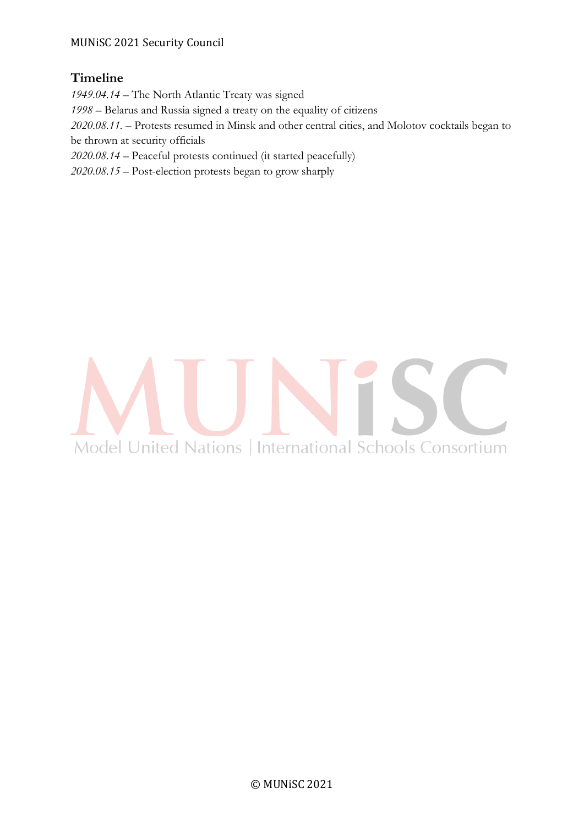# MUNiSC 2021 Security Council

# **Timeline**

*1949.04.14 –* The North Atlantic Treaty was signed

*1998 –* Belarus and Russia signed a treaty on the equality of citizens

*2020.08.11. –* Protests resumed in Minsk and other central cities, and Molotov cocktails began to be thrown at security officials

*2020.08.14 –* Peaceful protests continued (it started peacefully)

*2020.08.15 –* Post-election protests began to grow sharply

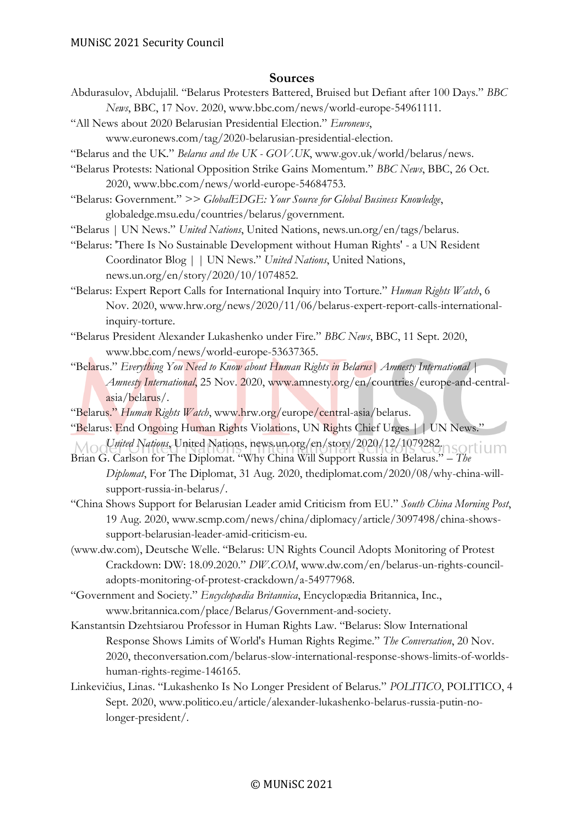### **Sources**

- Abdurasulov, Abdujalil. "Belarus Protesters Battered, Bruised but Defiant after 100 Days." *BBC News*, BBC, 17 Nov. 2020, www.bbc.com/news/world-europe-54961111.
- "All News about 2020 Belarusian Presidential Election." *Euronews*,

www.euronews.com/tag/2020-belarusian-presidential-election.

"Belarus and the UK." *Belarus and the UK - GOV.UK*, www.gov.uk/world/belarus/news.

- "Belarus Protests: National Opposition Strike Gains Momentum." *BBC News*, BBC, 26 Oct. 2020, www.bbc.com/news/world-europe-54684753.
- "Belarus: Government." *>> GlobalEDGE: Your Source for Global Business Knowledge*, globaledge.msu.edu/countries/belarus/government.

"Belarus | UN News." *United Nations*, United Nations, news.un.org/en/tags/belarus.

"Belarus: 'There Is No Sustainable Development without Human Rights' - a UN Resident Coordinator Blog | | UN News." *United Nations*, United Nations, news.un.org/en/story/2020/10/1074852.

"Belarus: Expert Report Calls for International Inquiry into Torture." *Human Rights Watch*, 6 Nov. 2020, www.hrw.org/news/2020/11/06/belarus-expert-report-calls-internationalinquiry-torture.

- "Belarus President Alexander Lukashenko under Fire." *BBC News*, BBC, 11 Sept. 2020, www.bbc.com/news/world-europe-53637365.
- "Belarus." *Everything You Need to Know about Human Rights in Belarus| Amnesty International | Amnesty International*, 25 Nov. 2020, www.amnesty.org/en/countries/europe-and-centralasia/belarus/.
- "Belarus." *Human Rights Watch*, www.hrw.org/europe/central-asia/belarus.
- "Belarus: End Ongoing Human Rights Violations, UN Rights Chief Urges | | UN News." *United Nations*, United Nations, news.un.org/en/story/2020/12/1079282.
- Brian G. Carlson for The Diplomat. "Why China Will Support Russia in Belarus." *– The Diplomat*, For The Diplomat, 31 Aug. 2020, thediplomat.com/2020/08/why-china-willsupport-russia-in-belarus/.
- "China Shows Support for Belarusian Leader amid Criticism from EU." *South China Morning Post*, 19 Aug. 2020, www.scmp.com/news/china/diplomacy/article/3097498/china-showssupport-belarusian-leader-amid-criticism-eu.
- (www.dw.com), Deutsche Welle. "Belarus: UN Rights Council Adopts Monitoring of Protest Crackdown: DW: 18.09.2020." *DW.COM*, www.dw.com/en/belarus-un-rights-counciladopts-monitoring-of-protest-crackdown/a-54977968.
- "Government and Society." *Encyclopædia Britannica*, Encyclopædia Britannica, Inc., www.britannica.com/place/Belarus/Government-and-society.
- Kanstantsin Dzehtsiarou Professor in Human Rights Law. "Belarus: Slow International Response Shows Limits of World's Human Rights Regime." *The Conversation*, 20 Nov. 2020, theconversation.com/belarus-slow-international-response-shows-limits-of-worldshuman-rights-regime-146165.
- Linkevičius, Linas. "Lukashenko Is No Longer President of Belarus." *POLITICO*, POLITICO, 4 Sept. 2020, www.politico.eu/article/alexander-lukashenko-belarus-russia-putin-nolonger-president/.